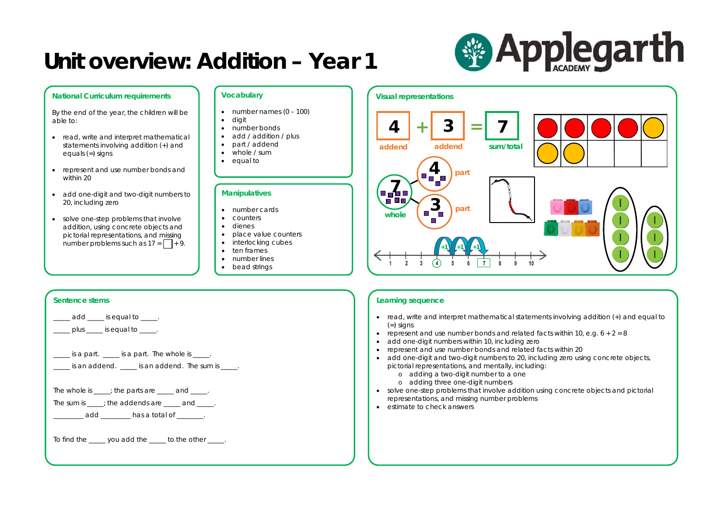

#### **National Curriculum requirements**

- read, write and interpret mathematical statements involving addition (+) and equals (=) signs
- represent and use number bonds and within 20
- add one-digit and two-digit numbers to 20, including zero
- solve one-step problems that involve addition, using concrete objects and pictorial representations, and missing number problems such as  $17 = \Box + 9$ .

By the end of the year, the children will be able to:

### **Learning sequence**

- read, write and interpret mathematical statements involving addition (+) and equal to  $(=)$  signs
- represent and use number bonds and related facts within 10, e.g.  $6 + 2 = 8$
- add one-digit numbers within 10, including zero
- represent and use number bonds and related facts within 20
- add one-digit and two-digit numbers to 20, including zero using concrete objects, pictorial representations, and mentally, including:
	- o adding a two-digit number to a one o adding three one-digit numbers
- solve one-step problems that involve addition using concrete objects and pictorial representations, and missing number problems
- estimate to check answers

- $\bullet$  number names  $(0 100)$
- digit
- number bonds
- add / addition / plus
- part / addend
- whole / sum
- equal to

#### **Sentence stems**

add \_\_\_\_\_ is equal to \_\_\_\_\_.

 $\Box$  plus  $\Box$  is equal to  $\Box$ .

| is a part. |  | is a part. The whole is |
|------------|--|-------------------------|
|------------|--|-------------------------|

\_\_\_\_\_ is an addend. \_\_\_\_\_ is an addend. The sum is \_\_\_\_\_.

The whole is  $\frac{1}{\sqrt{1-\frac{1}{n}}}$ ; the parts are  $\frac{1}{\sqrt{1-\frac{1}{n}}}$  and  $\frac{1}{\sqrt{1-\frac{1}{n}}}$ .

The sum is  $\rule{1em}{0.15mm}$ ; the addends are  $\rule{1em}{0.15mm}$  and  $\rule{1em}{0.15mm}$ .

**edd** \_\_\_\_\_\_\_\_\_ has a total of \_\_\_\_\_\_\_.

To find the \_\_\_\_\_ you add the \_\_\_\_ to the other \_\_\_\_.

### **Vocabulary**

### **Manipulatives**

- number cards
- counters
- dienes
- place value counters
- interlocking cubes
- ten frames
- number lines
- bead strings

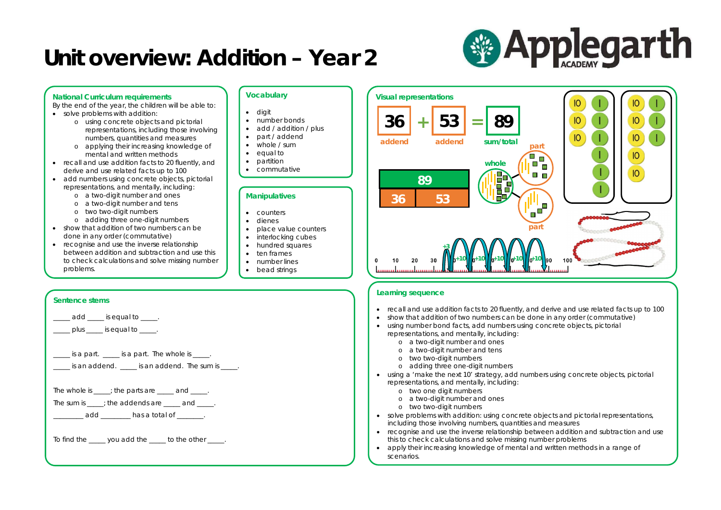

### **National Curriculum requirements**

By the end of the year, the children will be able to:

- solve problems with addition:
	- o using concrete objects and pictorial representations, including those involving numbers, quantities and measures
	- o applying their increasing knowledge of mental and written methods
- recall and use addition facts to 20 fluently, and derive and use related facts up to 100
- add numbers using concrete objects, pictorial representations, and mentally, including:
	- o a two-digit number and ones
	- o a two-digit number and tens
	- o two two-digit numbers
	- o adding three one-digit numbers
- show that addition of two numbers can be done in any order (commutative)
- recognise and use the inverse relationship between addition and subtraction and use this to check calculations and solve missing number problems.

- show that addition of two numbers can be done in any order (commutative)
- using number bond facts, add numbers using concrete objects, pictorial representations, and mentally, including:
	- o a two-digit number and ones
	- o a two-digit number and tens
	- o two two-digit numbers
	- o adding three one-digit numbers
- using a 'make the next 10' strategy, add numbers using concrete objects, pictorial representations, and mentally, including:
	- o two one digit numbers
	- o a two-digit number and ones
	- o two two-digit numbers
- solve problems with addition: using concrete objects and pictorial representations, including those involving numbers, quantities and measures
- recognise and use the inverse relationship between addition and subtraction and use this to check calculations and solve missing number problems
- apply their increasing knowledge of mental and written methods in a range of scenarios.

# **& Applegarth**





### **Sentence stems**

add **budget** is equal to  $\qquad$ .

plus is equal to  $\overline{\phantom{a}}$ .

\_\_\_\_\_ is a part. \_\_\_\_\_ is a part. The whole is \_\_\_\_\_.

\_\_\_\_\_ is an addend. \_\_\_\_\_ is an addend. The sum is \_\_\_\_\_.

The whole is  $\frac{1}{\sqrt{1-\frac{1}{n}}}$ ; the parts are  $\frac{1}{\sqrt{1-\frac{1}{n}}}$  and  $\frac{1}{\sqrt{1-\frac{1}{n}}}$ .

The sum is  $\rule{1em}{0.15mm}$ ; the addends are  $\rule{1em}{0.15mm}$  and  $\rule{1em}{0.15mm}$ .

\_\_\_\_\_\_ add \_\_\_\_\_\_\_\_ has a total of \_\_\_\_\_\_\_.

To find the \_\_\_\_\_ you add the \_\_\_\_ to the other \_\_\_\_.

### **Vocabulary**

- digit
- number bonds
- add / addition / plus
- part / addend
- whole / sum
- equal to
- partition
- commutative

### **Manipulatives**

- counters
- dienes
- place value counters
- interlocking cubes • hundred squares
- ten frames
- number lines
- bead strings
- 

**part**

 $\sim$ 

**part**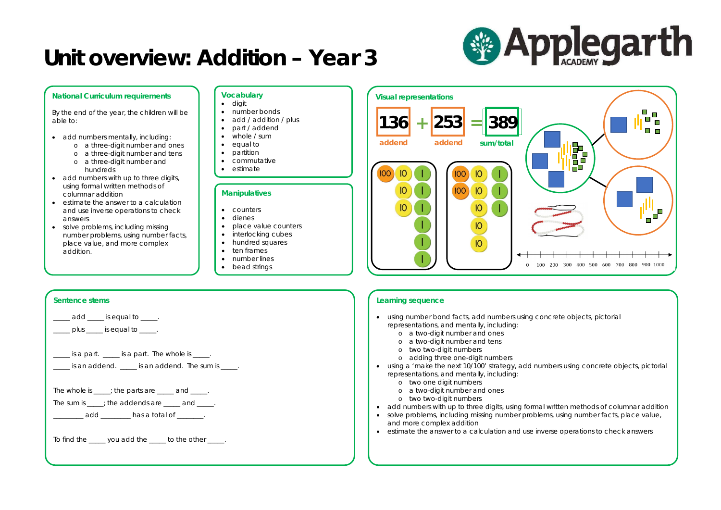

#### **National Curriculum requirements**

By the end of the year, the children will be able to:

- add numbers mentally, including:
	- o a three-digit number and ones
	- o a three-digit number and tens
	- o a three-digit number and
- hundreds • add numbers with up to three digits, using formal written methods of columnar addition
- estimate the answer to a calculation and use inverse operations to check answers
- solve problems, including missing number problems, using number facts, place value, and more complex addition.

### **Learning sequence**

- using number bond facts, add numbers using concrete objects, pictorial representations, and mentally, including:
	- o a two-digit number and ones
	- o a two-digit number and tens
	- o two two-digit numbers
	- o adding three one-digit numbers
- using a 'make the next 10/100' strategy, add numbers using concrete objects, pictorial representations, and mentally, including:
	- o two one digit numbers
	- o a two-digit number and ones
	- o two two-digit numbers
- add numbers with up to three digits, using formal written methods of columnar addition
- solve problems, including missing number problems, using number facts, place value, and more complex addition
- estimate the answer to a calculation and use inverse operations to check answers

## **& Applegarth**

### **Sentence stems**

add **budget** is equal to  $\qquad$ .

 $\Box$  plus  $\Box$  is equal to  $\Box$ .

 $\frac{1}{2}$  is a part.  $\frac{1}{2}$  is a part. The whole is  $\frac{1}{2}$ .

\_\_\_\_\_ is an addend. \_\_\_\_\_ is an addend. The sum is \_\_\_\_\_.

The whole is  $\frac{1}{\sqrt{1-\frac{1}{n}}}$ ; the parts are  $\frac{1}{\sqrt{1-\frac{1}{n}}}$  and  $\frac{1}{\sqrt{1-\frac{1}{n}}}$ .

The sum is  $\rule{1em}{0.15mm}$ ; the addends are  $\rule{1em}{0.15mm}$  and  $\rule{1em}{0.15mm}$ .

\_\_\_\_\_\_\_\_ add \_\_\_\_\_\_\_\_ has a total of \_\_\_\_\_\_\_\_.

To find the \_\_\_\_\_ you add the \_\_\_\_ to the other \_\_\_\_.

#### **Vocabulary**

- digit
- number bonds
- add / addition / plus
- part / addend
- whole / sum
- equal to
- partition
- commutative
- estimate

### **Manipulatives**

- counters
- dienes
- place value counters
- interlocking cubes
- hundred squares
- ten frames
- number lines
- bead strings

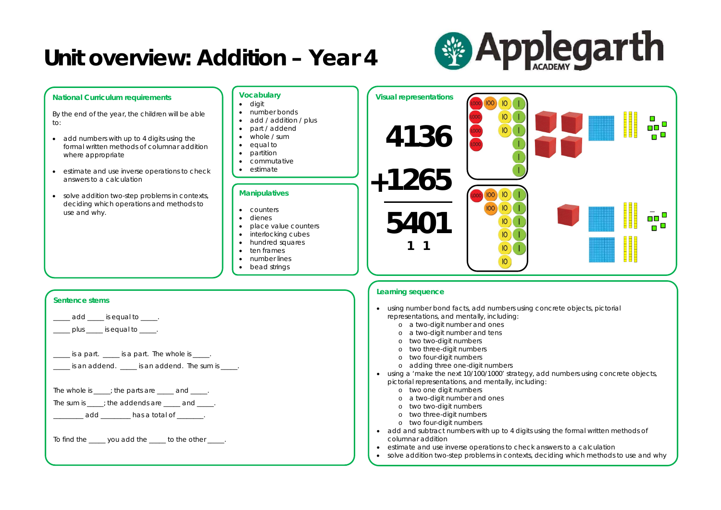

#### **Vocabulary Visual representations National Curriculum requirements** • digit • number bonds By the end of the year, the children will be able • add / addition / plus to: • part / addend **4136** • whole / sum • add numbers with up to 4 digits using the • equal to formal written methods of columnar addition • partition where appropriate • commutative • estimate **1265 +** • estimate and use inverse operations to check answers to a calculation **Manipulatives**  $\vert$  10  $IOO$ • solve addition two-step problems in contexts, deciding which operations and methods to  $IO$ • counters use and why. **5401** • dienes • place value counters • interlocking cubes • hundred squares **1 1**• ten frames • number lines  $IO$ • bead strings **Learning sequence Sentence stems** • using number bond facts, add numbers using concrete objects, pictorial representations, and mentally, including: add \_\_\_\_\_ is equal to \_\_\_\_\_. o a two-digit number and ones  $\Box$  plus  $\Box$  is equal to  $\Box$ . o a two-digit number and tens o two two-digit numbers o two three-digit numbers  $\frac{1}{2}$  is a part.  $\frac{1}{2}$  is a part. The whole is  $\frac{1}{2}$ . o two four-digit numbers o adding three one-digit numbers  $\Box$  is an addend.  $\Box$  is an addend. The sum is  $\Box$ . • using a 'make the next 10/100/1000' strategy, add numbers using concrete objects, pictorial representations, and mentally, including: o two one digit numbers The whole is  $\frac{1}{\sqrt{1-\frac{1}{n}}}$ ; the parts are  $\frac{1}{\sqrt{1-\frac{1}{n}}}$  and  $\frac{1}{\sqrt{1-\frac{1}{n}}}$ . o a two-digit number and ones The sum is  $\rule{1em}{0.15mm}$ ; the addends are  $\rule{1em}{0.15mm}$  and  $\rule{1em}{0.15mm}$ . o two two-digit numbers o two three-digit numbers \_\_\_\_\_\_\_ add \_\_\_\_\_\_\_\_ has a total of \_\_\_\_\_\_\_. o two four-digit numbers • add and subtract numbers with up to 4 digits using the formal written methods of columnar addition To find the \_\_\_\_\_ you add the \_\_\_\_ to the other \_\_\_\_. • estimate and use inverse operations to check answers to a calculation • solve addition two-step problems in contexts, deciding which methods to use and why

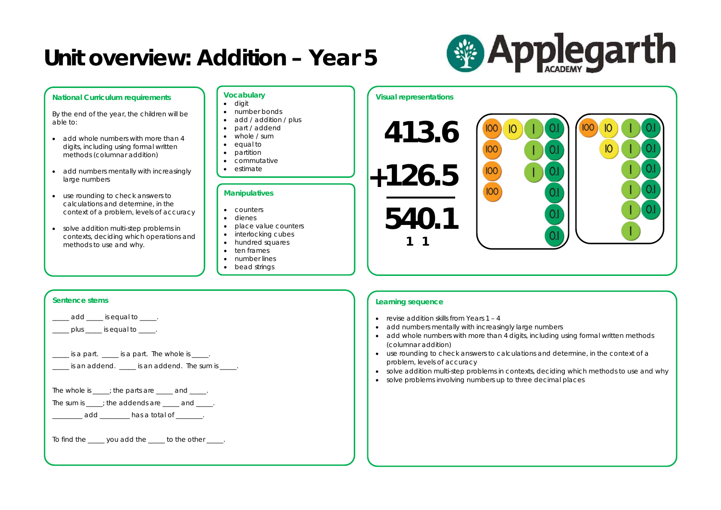

### **National Curriculum requirements**

By the end of the year, the children will be able to:

- add whole numbers with more than 4 digits, including using formal written methods (columnar addition)
- add numbers mentally with increasingly large numbers
- use rounding to check answers to calculations and determine, in the context of a problem, levels of accuracy
- solve addition multi-step problems in contexts, deciding which operations and methods to use and why.

- revise addition skills from Years  $1 4$
- add numbers mentally with increasingly large numbers
- add whole numbers with more than 4 digits, including using formal written methods (columnar addition)
- use rounding to check answers to calculations and determine, in the context of a problem, levels of accuracy
- solve addition multi-step problems in contexts, deciding which methods to use and why
- solve problems involving numbers up to three decimal places



### **Learning sequence**

### **Sentence stems**

i.

add **is equal to** .

 $\Box$  plus  $\Box$  is equal to  $\Box$ .

\_\_\_\_\_ is a part. \_\_\_\_\_ is a part. The whole is \_\_\_\_\_.

 $\Box$  is an addend.  $\Box$  is an addend. The sum is  $\Box$ .

The whole is  $\rule{1em}{0.15mm}$  is the parts are  $\rule{1em}{0.15mm}$  and  $\rule{1em}{0.15mm}$ .

The sum is  $\rule{1em}{0.15mm}$ ; the addends are  $\rule{1em}{0.15mm}$  and  $\rule{1em}{0.15mm}$ .

\_\_\_\_\_\_ add \_\_\_\_\_\_\_\_\_ has a total of \_\_\_\_\_\_\_.

To find the \_\_\_\_\_ you add the \_\_\_\_\_ to the other \_\_\_\_.

### **Vocabulary**

- digit
- number bonds
- add / addition / plus
- part / addend
- whole / sum
- equal to
- partition
- commutative
- estimate

### **Manipulatives**

- 
- counters
- dienes
- place value counters
- interlocking cubes
- hundred squares
- ten frames
- number lines
- bead strings

### **Visual representations**

**413.6 126.5 + 540.1**

**1 1**